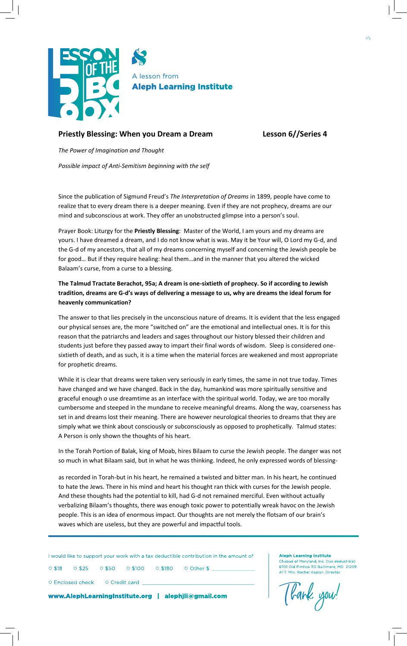

## **Priestly Blessing: When you Dream a Dream Lesson 6//Series 4**

*The Power of Imagination and Thought*

*Possible impact of Anti-Semitism beginning with the self*

Since the publication of Sigmund Freud's *The Interpretation of Dreams* in 1899, people have come to realize that to every dream there is a deeper meaning. Even if they are not prophecy, dreams are our mind and subconscious at work. They offer an unobstructed glimpse into a person's soul.

Prayer Book: Liturgy for the **Priestly Blessing**: Master of the World, I am yours and my dreams are yours. I have dreamed a dream, and I do not know what is was. May it be Your will, O Lord my G-d, and the G-d of my ancestors, that all of my dreams concerning myself and concerning the Jewish people be for good… But if they require healing: heal them…and in the manner that you altered the wicked Balaam's curse, from a curse to a blessing.

## **The Talmud Tractate Berachot, 95a; A dream is one-sixtieth of prophecy. So if according to Jewish tradition, dreams are G-d's ways of delivering a message to us, why are dreams the ideal forum for heavenly communication?**

The answer to that lies precisely in the unconscious nature of dreams. It is evident that the less engaged our physical senses are, the more "switched on" are the emotional and intellectual ones. It is for this reason that the patriarchs and leaders and sages throughout our history blessed their children and students just before they passed away to impart their final words of wisdom. Sleep is considered onesixtieth of death, and as such, it is a time when the material forces are weakened and most appropriate for prophetic dreams.

While it is clear that dreams were taken very seriously in early times, the same in not true today. Times have changed and we have changed. Back in the day, humankind was more spiritually sensitive and graceful enough o use dreamtime as an interface with the spiritual world. Today, we are too morally cumbersome and steeped in the mundane to receive meaningful dreams. Along the way, coarseness has set in and dreams lost their meaning. There are however neurological theories to dreams that they are simply what we think about consciously or subconsciously as opposed to prophetically. Talmud states: A Person is only shown the thoughts of his heart.

In the Torah Portion of Balak, king of Moab, hires Bilaam to curse the Jewish people. The danger was not so much in what Bilaam said, but in what he was thinking. Indeed, he only expressed words of blessing-

as recorded in Torah-but in his heart, he remained a twisted and bitter man. In his heart, he continued to hate the Jews. There in his mind and heart his thought ran thick with curses for the Jewish people. And these thoughts had the potential to kill, had G-d not remained merciful. Even without actually verbalizing Bilaam's thoughts, there was enough toxic power to potentially wreak havoc on the Jewish people. This is an idea of enormous impact. Our thoughts are not merely the flotsam of our brain's waves which are useless, but they are powerful and impactful tools.

I would like to support your work with a tax deductible contribution in the amount of

○ \$18 ○ \$25 ○ \$50 ○ \$100 ○ \$180 ○ Other \$ \_

○ Enclosed check ○ Credit card \_

www.AlephLearningInstitute.org | alephjli@gmail.com

ATT: Mrs. Rochel Kaplan, Director [bank you!

ad of Maryland, Inc. (tax deductible) 6701 Old Pimlico RD Baltimore, MD 21209

**Aleph Learning Institute**